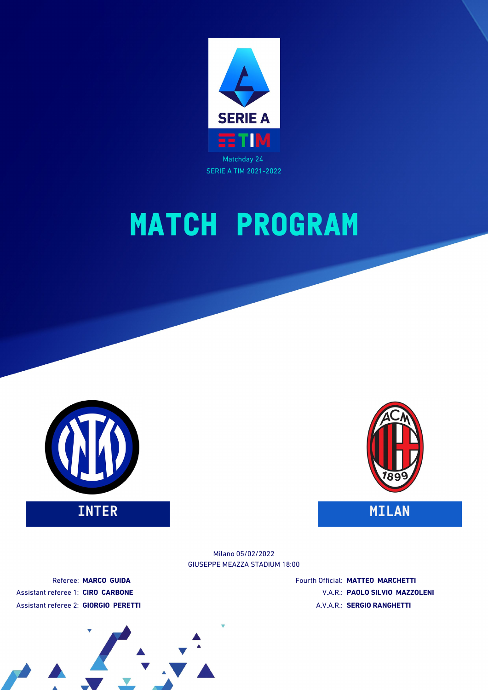





GIUSEPPE MEAZZA STADIUM 18:00 Milano 05/02/2022

Referee: **MARCO GUIDA** Assistant referee 1: **CIRO CARBONE** Assistant referee 2: **GIORGIO PERETTI** Fourth Official: **MATTEO MARCHETTI** V.A.R.: **PAOLO SILVIO MAZZOLENI** A.V.A.R.: **SERGIO RANGHETTI**

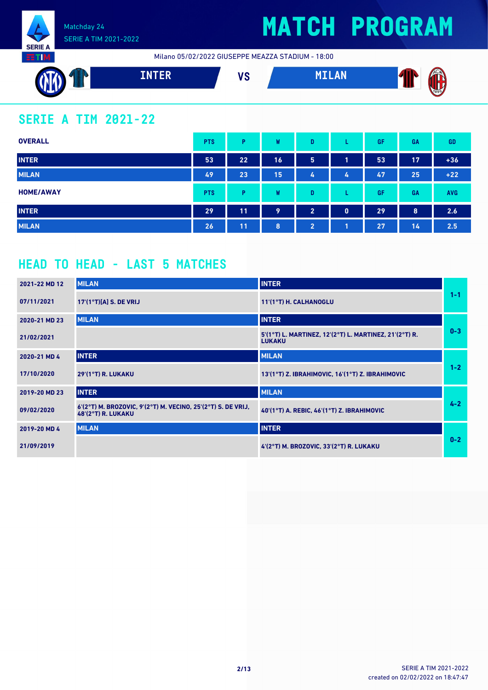

Milano 05/02/2022 GIUSEPPE MEAZZA STADIUM - 18:00



### **SERIE A TIM 2021-22**

| <b>OVERALL</b>   | <b>PTS</b> | P. | W  | D              |              | GF | GA | GD         |
|------------------|------------|----|----|----------------|--------------|----|----|------------|
| <b>INTER</b>     | 53         | 22 | 16 | 5              | 1            | 53 | 17 | $+36$      |
| <b>MILAN</b>     | 49         | 23 | 15 | 47             | 4            | 47 | 25 | $+22$      |
| <b>HOME/AWAY</b> | <b>PTS</b> | Þ  | W  | D              |              | GF | GA | <b>AVG</b> |
| <b>INTER</b>     | 29         | 11 | 9  | $\overline{2}$ | $\mathbf{0}$ | 29 | 8  | 2.6        |
| <b>MILAN</b>     | 26         | 11 | 8  | $\overline{2}$ | 1            | 27 | 14 | 2.5        |

### **HEAD TO HEAD - LAST 5 MATCHES**

| 2021-22 MD 12 | <b>MILAN</b>                                                                          | <b>INTER</b>                                                            |         |
|---------------|---------------------------------------------------------------------------------------|-------------------------------------------------------------------------|---------|
| 07/11/2021    | $17'(1°T)[A]$ S. DE VRIJ                                                              | 11'(1°T) H. CALHANOGLU                                                  | $1 - 1$ |
| 2020-21 MD 23 | <b>MILAN</b>                                                                          | <b>INTER</b>                                                            |         |
| 21/02/2021    |                                                                                       | 5'(1°T) L. MARTINEZ, 12'(2°T) L. MARTINEZ, 21'(2°T) R.<br><b>LUKAKU</b> | $0 - 3$ |
| 2020-21 MD 4  | <b>INTER</b>                                                                          | <b>MILAN</b>                                                            |         |
| 17/10/2020    | 29'(1°T) R. LUKAKU                                                                    | 13'(1°T) Z. IBRAHIMOVIC, 16'(1°T) Z. IBRAHIMOVIC                        | $1 - 2$ |
| 2019-20 MD 23 | <b>INTER</b>                                                                          | <b>MILAN</b>                                                            |         |
| 09/02/2020    | $6'(2°T)$ M. BROZOVIC, 9'(2°T) M. VECINO, 25'(2°T) S. DE VRIJ,<br>$48(2°T)$ R. LUKAKU | 40'(1°T) A. REBIC, 46'(1°T) Z. IBRAHIMOVIC                              | $4 - 2$ |
| 2019-20 MD 4  | <b>MILAN</b>                                                                          | <b>INTER</b>                                                            |         |
| 21/09/2019    |                                                                                       | 4'(2°T) M. BROZOVIC, 33'(2°T) R. LUKAKU                                 | $0 - 2$ |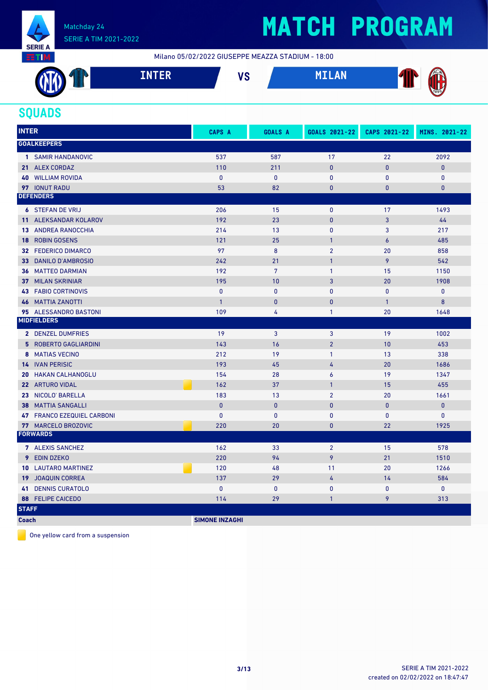

## **MATCH PROGRAM**

Milano 05/02/2022 GIUSEPPE MEAZZA STADIUM - 18:00



### **SQUADS**

| <b>INTER</b> |                            | <b>CAPS A</b>         | <b>GOALS A</b>  | GOALS 2021-22           | CAPS 2021-22 | MINS. 2021-22 |
|--------------|----------------------------|-----------------------|-----------------|-------------------------|--------------|---------------|
|              | <b>GOALKEEPERS</b>         |                       |                 |                         |              |               |
|              | 1 SAMIR HANDANOVIC         | 537                   | 587             | 17                      | 22           | 2092          |
|              | 21 ALEX CORDAZ             | 110                   | 211             | $\mathbf{0}$            | $\mathbf{0}$ | $\mathbf{0}$  |
|              | <b>40 WILLIAM ROVIDA</b>   | $\mathbf 0$           | $\mathbf 0$     | $\pmb{0}$               | $\pmb{0}$    | $\pmb{0}$     |
|              | 97 IONUT RADU              | 53                    | 82              | $\mathbf{0}$            | $\mathbf{0}$ | $\mathbf{0}$  |
|              | <b>DEFENDERS</b>           |                       |                 |                         |              |               |
|              | <b>6 STEFAN DE VRIJ</b>    | 206                   | 15              | $\mathbf{0}$            | 17           | 1493          |
|              | 11 ALEKSANDAR KOLAROV      | 192                   | 23              | $\mathbf{0}$            | 3            | 44            |
|              | <b>13 ANDREA RANOCCHIA</b> | 214                   | 13              | $\mathbf{0}$            | 3            | 217           |
| 18           | <b>ROBIN GOSENS</b>        | 121                   | 25              | $\mathbf{1}$            | 6            | 485           |
|              | 32 FEDERICO DIMARCO        | 97                    | 8               | $\overline{2}$          | 20           | 858           |
|              | 33 DANILO D'AMBROSIO       | 242                   | 21              | $\mathbf{1}$            | 9            | 542           |
|              | <b>36 MATTEO DARMIAN</b>   | 192                   | $7\overline{ }$ | $\mathbf{1}$            | 15           | 1150          |
| 37           | <b>MILAN SKRINIAR</b>      | 195                   | 10              | 3                       | 20           | 1908          |
|              | <b>43 FABIO CORTINOVIS</b> | $\mathbf{0}$          | $\mathbf{0}$    | $\mathbf{0}$            | $\mathbf{0}$ | $\mathbf{0}$  |
| 46           | <b>MATTIA ZANOTTI</b>      | $\overline{1}$        | $\mathbf{0}$    | $\mathbf{0}$            | $\mathbf{1}$ | 8             |
|              | 95 ALESSANDRO BASTONI      | 109                   | 4               | $\mathbf{1}$            | 20           | 1648          |
|              | <b>MIDFIELDERS</b>         |                       |                 |                         |              |               |
|              | 2 DENZEL DUMFRIES          | 19                    | 3               | 3                       | 19           | 1002          |
|              | 5 ROBERTO GAGLIARDINI      | 143                   | 16              | $\overline{2}$          | 10           | 453           |
|              | 8 MATIAS VECINO            | 212                   | 19              | $\mathbf{1}$            | 13           | 338           |
|              | <b>14 IVAN PERISIC</b>     | 193                   | 45              | 4                       | 20           | 1686          |
|              | <b>20 HAKAN CALHANOGLU</b> | 154                   | 28              | 6                       | 19           | 1347          |
|              | 22 ARTURO VIDAL            | 162                   | 37              | $\mathbf{1}$            | 15           | 455           |
|              | 23 NICOLO' BARELLA         | 183                   | 13              | $\overline{\mathbf{c}}$ | 20           | 1661          |
|              | <b>38 MATTIA SANGALLI</b>  | $\mathbf{0}$          | $\mathbf{0}$    | $\mathbf{0}$            | $\mathbf{0}$ | $\pmb{0}$     |
|              | 47 FRANCO EZEQUIEL CARBONI | $\mathbf{0}$          | $\pmb{0}$       | $\mathbf{0}$            | $\pmb{0}$    | $\pmb{0}$     |
|              | 77 MARCELO BROZOVIC        | 220                   | 20              | $\bf{0}$                | 22           | 1925          |
|              | <b>FORWARDS</b>            |                       |                 |                         |              |               |
|              | 7 ALEXIS SANCHEZ           | 162                   | 33              | $\overline{2}$          | 15           | 578           |
|              | 9 EDIN DZEKO               | 220                   | 94              | 9                       | 21           | 1510          |
|              | <b>10 LAUTARO MARTINEZ</b> | 120                   | 48              | 11                      | 20           | 1266          |
|              | <b>19 JOAQUIN CORREA</b>   | 137                   | 29              | 4                       | 14           | 584           |
|              | <b>41 DENNIS CURATOLO</b>  | $\mathbf{0}$          | $\bf{0}$        | $\mathbf{0}$            | $\mathbf{0}$ | $\mathbf{0}$  |
|              | 88 FELIPE CAICEDO          | 114                   | 29              | $\mathbf{1}$            | 9            | 313           |
| <b>STAFF</b> |                            |                       |                 |                         |              |               |
| <b>Coach</b> |                            | <b>SIMONE INZAGHI</b> |                 |                         |              |               |

One yellow card from a suspension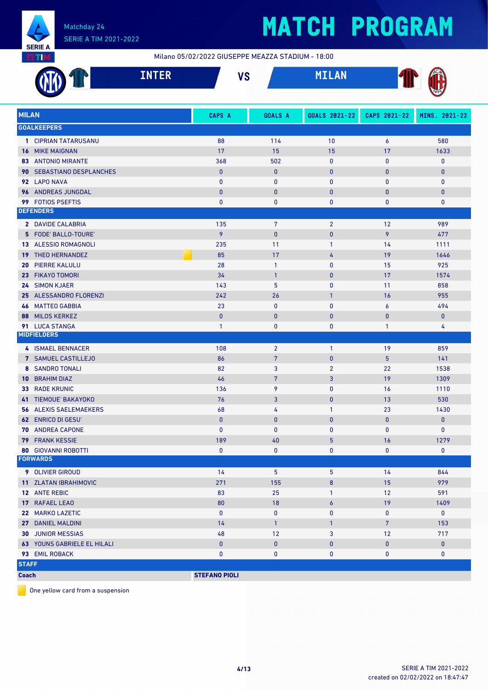

# **MATCH PROGRAM**

Milano 05/02/2022 GIUSEPPE MEAZZA STADIUM - 18:00

|              | <b>INTER</b>                                  | <b>VS</b>             |                        | <b>MILAN</b>   |                |               |
|--------------|-----------------------------------------------|-----------------------|------------------------|----------------|----------------|---------------|
| <b>MILAN</b> |                                               | CAPS A                | <b>GOALS A</b>         | GOALS 2021-22  | CAPS 2021-22   | MINS. 2021-22 |
|              | <b>GOALKEEPERS</b>                            |                       |                        |                |                |               |
|              | 1 CIPRIAN TATARUSANU                          | 88                    | 114                    | 10             | 6              | 580           |
|              | <b>16 MIKE MAIGNAN</b>                        | 17                    | 15                     | 15             | 17             | 1633          |
|              | <b>83 ANTONIO MIRANTE</b>                     | 368                   | 502                    | $\mathbf 0$    | 0              | $\mathbf 0$   |
|              | 90 SEBASTIANO DESPLANCHES                     | $\bf{0}$              | $\pmb{0}$              | $\mathbf 0$    | 0              | $\pmb{0}$     |
|              | 92 LAPO NAVA                                  | $\mathbf{0}$          | 0                      | 0              | 0              | $\mathbf 0$   |
|              | 96 ANDREAS JUNGDAL                            | $\mathbf{0}$          | $\mathbf{0}$           | $\mathbf{0}$   | $\mathbf{0}$   | $\pmb{0}$     |
|              | 99 FOTIOS PSEFTIS                             | $\mathbf{0}$          | 0                      | 0              | 0              | 0             |
|              | <b>DEFENDERS</b>                              |                       |                        |                |                |               |
|              | 2 DAVIDE CALABRIA                             | 135                   | 7                      | $\overline{2}$ | 12             | 989           |
|              | 5 FODE' BALLO-TOURE'                          | 9                     | $\pmb{0}$              | $\pmb{0}$      | 9              | 477           |
|              | 13 ALESSIO ROMAGNOLI                          | 235                   | 11                     | 1              | 14             | 1111          |
|              | <b>19 THEO HERNANDEZ</b>                      | 85                    | 17                     | 4              | 19             | 1646          |
| 20           | <b>PIERRE KALULU</b>                          | 28                    | $\mathbf{1}$           | $\mathbf{0}$   | 15             | 925           |
|              | 23 FIKAYO TOMORI                              | 34                    | $\mathbf{1}$           | $\mathbf{0}$   | 17             | 1574          |
|              | 24 SIMON KJAER                                | 143                   | 5                      | $\mathbf{0}$   | 11             | 858           |
|              | 25 ALESSANDRO FLORENZI                        | 242                   | 26                     | $\mathbf{1}$   | 16             | 955           |
|              | <b>46 MATTEO GABBIA</b>                       | 23                    | $\mathbf{0}$           | 0              | 6              | 494           |
| 88           | <b>MILOS KERKEZ</b>                           | $\mathbf{0}$          | $\mathbf{0}$           | $\mathbf{0}$   | $\mathbf{0}$   | $\mathbf{0}$  |
|              | 91 LUCA STANGA                                | $\mathbf{1}$          | 0                      | 0              | 1              | 4             |
|              | <b>MIDFIELDERS</b>                            |                       |                        |                |                |               |
|              | 4 ISMAEL BENNACER                             | 108                   | $\overline{2}$         | $\mathbf{1}$   | 19             | 859           |
|              | 7 SAMUEL CASTILLEJO                           | 86                    | $\overline{7}$         | $\pmb{0}$      | 5              | 141           |
|              | <b>8 SANDRO TONALI</b>                        | 82                    | 3                      | $\overline{2}$ | 22             | 1538          |
| $10-10$      | <b>BRAHIM DIAZ</b>                            | 46                    | $\overline{7}$         | 3              | 19             | 1309          |
|              | <b>33 RADE KRUNIC</b>                         | 136                   | 9                      | 0              | 16             | 1110          |
|              | 41 TIEMOUE' BAKAYOKO                          | 76                    | 3                      | $\mathbf{0}$   | 13             | 530           |
|              | <b>56 ALEXIS SAELEMAEKERS</b>                 | 68                    | 4                      | $\mathbf{1}$   | 23             | 1430          |
|              | <b>62 ENRICO DI GESU'</b>                     | $\bf{0}$              | $\bf{0}$               | 0              | $\bf{0}$       | $\mathbf 0$   |
|              | 70 ANDREA CAPONE                              | $\pmb{0}$             | 0                      | 0              | 0              | $\mathbf{0}$  |
|              | <b>79 FRANK KESSIE</b>                        | 189                   | 40                     | 5              | 16             | 1279          |
|              | <b>80 GIOVANNI ROBOTTI</b><br><b>FORWARDS</b> | $\mathbf 0$           | 0                      | 0              | 0              | 0             |
|              |                                               |                       |                        |                |                |               |
|              | 9 OLIVIER GIROUD                              | 14                    | 5                      | 5              | 14             | 844           |
|              | 11 ZLATAN IBRAHIMOVIC                         | 271                   | 155                    | 8              | 15             | 979           |
|              | 12 ANTE REBIC                                 | 83                    | 25                     | 1              | 12             | 591           |
|              | 17 RAFAEL LEAO                                | 80                    | 18                     | 6              | 19             | 1409          |
|              | 22 MARKO LAZETIC                              | $\mathbf 0$           | $\pmb{0}$              | 0              | 0              | $\mathbf 0$   |
|              | 27 DANIEL MALDINI                             | 14                    | $\mathbf{1}$           | $\mathbf{1}$   | $7\phantom{.}$ | 153           |
|              | <b>30 JUNIOR MESSIAS</b>                      | 48                    | 12                     | 3              | 12             | 717           |
|              | 63 YOUNS GABRIELE EL HILALI                   | $\pmb{0}$<br>$\bf{0}$ | $\pmb{0}$<br>$\pmb{0}$ | 0              | 0<br>0         | $\mathbf{0}$  |
| <b>STAFF</b> | 93 EMIL ROBACK                                |                       |                        | 0              |                | 0             |
| <b>Coach</b> |                                               | <b>STEFANO PIOLI</b>  |                        |                |                |               |
|              |                                               |                       |                        |                |                |               |

One yellow card from a suspension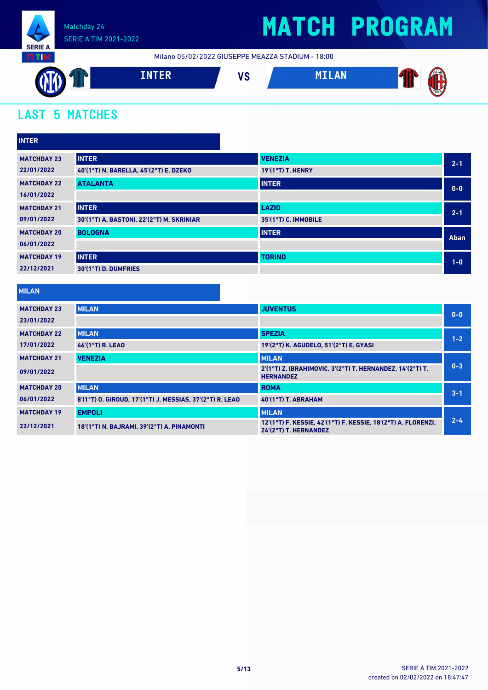

Milano 05/02/2022 GIUSEPPE MEAZZA STADIUM - 18:00



## **LAST 5 MATCHES**

| <b>INTER</b>       |                                           |                          |         |
|--------------------|-------------------------------------------|--------------------------|---------|
| <b>MATCHDAY 23</b> | <b>INTER</b>                              | <b>VENEZIA</b>           | $2 - 1$ |
| 22/01/2022         | 40'(1°T) N. BARELLA, 45'(2°T) E. DZEKO    | <b>19'(1°T) T. HENRY</b> |         |
| <b>MATCHDAY 22</b> | <b>ATALANTA</b>                           | <b>INTER</b>             | $0 - 0$ |
| 16/01/2022         |                                           |                          |         |
| <b>MATCHDAY 21</b> | <b>INTER</b>                              | <b>LAZIO</b>             | $2 - 1$ |
| 09/01/2022         | 30'(1°T) A. BASTONI, 22'(2°T) M. SKRINIAR | 35'(1°T) C. IMMOBILE     |         |
| <b>MATCHDAY 20</b> | <b>BOLOGNA</b>                            | <b>INTER</b>             | Aban    |
| 06/01/2022         |                                           |                          |         |
| <b>MATCHDAY 19</b> | <b>INTER</b>                              | <b>TORINO</b>            | $1-0$   |
| 22/12/2021         | 30'(1°T) D. DUMFRIES                      |                          |         |

#### **MILAN**

| <b>MATCHDAY 23</b> | <b>MILAN</b>                                             | <b>JUVENTUS</b>                                                                        | $0-0$   |
|--------------------|----------------------------------------------------------|----------------------------------------------------------------------------------------|---------|
| 23/01/2022         |                                                          |                                                                                        |         |
| <b>MATCHDAY 22</b> | <b>MILAN</b>                                             | <b>SPEZIA</b>                                                                          | $1 - 2$ |
| 17/01/2022         | 46'(1°T) R. LEAO                                         | 19'(2°T) K. AGUDELO, 51'(2°T) E. GYASI                                                 |         |
| <b>MATCHDAY 21</b> | <b>VENEZIA</b>                                           | <b>MILAN</b>                                                                           |         |
| 09/01/2022         |                                                          | 2'(1°T) Z. IBRAHIMOVIC, 3'(2°T) T. HERNANDEZ, 14'(2°T) T.<br><b>HERNANDEZ</b>          | $0 - 3$ |
| <b>MATCHDAY 20</b> | <b>MILAN</b>                                             | <b>ROMA</b>                                                                            | $3 - 1$ |
| 06/01/2022         | 8'(1°T) O. GIROUD, 17'(1°T) J. MESSIAS, 37'(2°T) R. LEAO | 40'(1°T) T. ABRAHAM                                                                    |         |
| <b>MATCHDAY 19</b> | <b>EMPOLI</b>                                            | <b>MILAN</b>                                                                           |         |
| 22/12/2021         | 18'(1°T) N. BAJRAMI, 39'(2°T) A. PINAMONTI               | 12'(1°T) F. KESSIE, 42'(1°T) F. KESSIE, 18'(2°T) A. FLORENZI,<br>24'(2°T) T. HERNANDEZ | $2 - 4$ |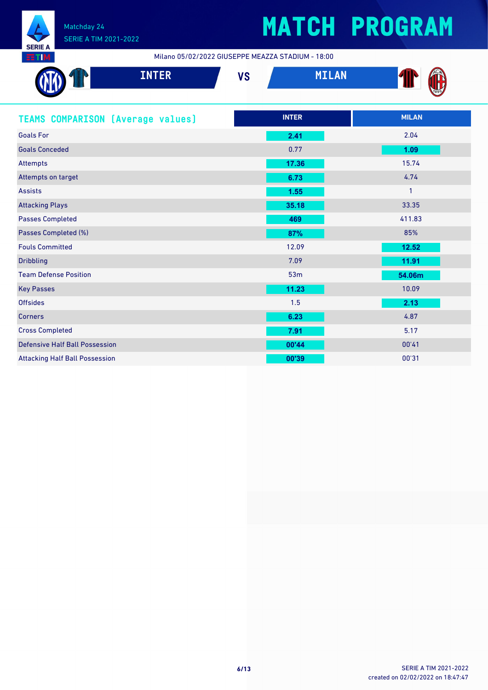

Milano 05/02/2022 GIUSEPPE MEAZZA STADIUM - 18:00

|                                          | <b>INTER</b> | <b>VS</b> |              | <b>MILAN</b> |              |  |
|------------------------------------------|--------------|-----------|--------------|--------------|--------------|--|
| <b>TEAMS COMPARISON (Average values)</b> |              |           | <b>INTER</b> |              | <b>MILAN</b> |  |
| <b>Goals For</b>                         |              |           | 2.41         |              | 2.04         |  |
| <b>Goals Conceded</b>                    |              |           | 0.77         |              | 1.09         |  |
| Attempts                                 |              |           | 17.36        |              | 15.74        |  |
| Attempts on target                       |              |           | 6.73         |              | 4.74         |  |
| <b>Assists</b>                           |              |           | 1.55         |              | $\mathbf{1}$ |  |
| <b>Attacking Plays</b>                   |              |           | 35.18        |              | 33.35        |  |
| <b>Passes Completed</b>                  |              |           | 469          |              | 411.83       |  |
| Passes Completed (%)                     |              |           | 87%          |              | 85%          |  |
| <b>Fouls Committed</b>                   |              |           | 12.09        |              | 12.52        |  |
| <b>Dribbling</b>                         |              |           | 7.09         |              | 11.91        |  |
| <b>Team Defense Position</b>             |              |           | 53m          |              | 54.06m       |  |
| <b>Key Passes</b>                        |              |           | 11.23        |              | 10.09        |  |
| <b>Offsides</b>                          |              |           | 1.5          |              | 2.13         |  |
| <b>Corners</b>                           |              |           | 6.23         |              | 4.87         |  |
| <b>Cross Completed</b>                   |              |           | 7.91         |              | 5.17         |  |
| <b>Defensive Half Ball Possession</b>    |              |           | 00'44        |              | 00'41        |  |
| <b>Attacking Half Ball Possession</b>    |              |           | 00'39        |              | 00'31        |  |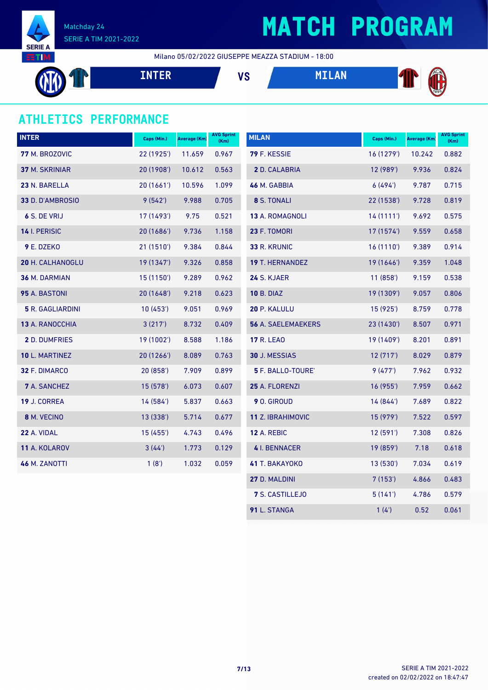

## **MATCH PROGRAM**

Milano 05/02/2022 GIUSEPPE MEAZZA STADIUM - 18:00

**INTER VS MILAN**

### **ATHLETICS PERFORMANCE**

| <b>INTER</b>            | Caps (Min.) | <b>Average (Km)</b> | <b>AVG Sprint</b><br>(Km) | <b>MILAN</b>              | Caps (Min.) | <b>Average (Km)</b> | <b>AVG Sprint</b><br>(Km) |
|-------------------------|-------------|---------------------|---------------------------|---------------------------|-------------|---------------------|---------------------------|
| 77 M. BROZOVIC          | 22 (1925')  | 11.659              | 0.967                     | 79 F. KESSIE              | 16 (1279')  | 10.242              | 0.882                     |
| 37 M. SKRINIAR          | 20 (1908')  | 10.612              | 0.563                     | 2 D. CALABRIA             | 12 (989')   | 9.936               | 0.824                     |
| 23 N. BARELLA           | 20(1661)    | 10.596              | 1.099                     | 46 M. GABBIA              | 6(494)      | 9.787               | 0.715                     |
| 33 D. D'AMBROSIO        | 9(542)      | 9.988               | 0.705                     | 8 S. TONALI               | 22 (1538')  | 9.728               | 0.819                     |
| 6 S. DE VRIJ            | 17(1493)    | 9.75                | 0.521                     | 13 A. ROMAGNOLI           | 14(1111)    | 9.692               | 0.575                     |
| 14 I. PERISIC           | 20(1686)    | 9.736               | 1.158                     | 23 F. TOMORI              | 17 (1574')  | 9.559               | 0.658                     |
| 9 E. DZEKO              | 21 (1510')  | 9.384               | 0.844                     | 33 R. KRUNIC              | 16 (1110')  | 9.389               | 0.914                     |
| <b>20 H. CALHANOGLU</b> | 19 (1347')  | 9.326               | 0.858                     | <b>19 T. HERNANDEZ</b>    | 19 (1646')  | 9.359               | 1.048                     |
| 36 M. DARMIAN           | 15 (1150')  | 9.289               | 0.962                     | <b>24 S. KJAER</b>        | 11(858)     | 9.159               | 0.538                     |
| 95 A. BASTONI           | 20 (1648')  | 9.218               | 0.623                     | <b>10 B. DIAZ</b>         | 19 (1309')  | 9.057               | 0.806                     |
| <b>5 R. GAGLIARDINI</b> | 10(453)     | 9.051               | 0.969                     | 20 P. KALULU              | 15 (925')   | 8.759               | 0.778                     |
| 13 A. RANOCCHIA         | 3(217)      | 8.732               | 0.409                     | <b>56 A. SAELEMAEKERS</b> | 23 (1430')  | 8.507               | 0.971                     |
| 2 D. DUMFRIES           | 19 (1002')  | 8.588               | 1.186                     | <b>17 R. LEAO</b>         | 19 (1409')  | 8.201               | 0.891                     |
| 10 L. MARTINEZ          | 20(1266)    | 8.089               | 0.763                     | 30 J. MESSIAS             | 12(717)     | 8.029               | 0.879                     |
| 32 F. DIMARCO           | 20(858)     | 7.909               | 0.899                     | 5 F. BALLO-TOURE'         | 9(477)      | 7.962               | 0.932                     |
| 7 A. SANCHEZ            | 15 (578')   | 6.073               | 0.607                     | 25 A. FLORENZI            | 16 (955')   | 7.959               | 0.662                     |
| 19 J. CORREA            | 14 (584')   | 5.837               | 0.663                     | 9 O. GIROUD               | 14(844)     | 7.689               | 0.822                     |
| 8 M. VECINO             | 13 (338')   | 5.714               | 0.677                     | 11 Z. IBRAHIMOVIC         | 15 (979')   | 7.522               | 0.597                     |
| 22 A. VIDAL             | 15(455)     | 4.743               | 0.496                     | <b>12 A. REBIC</b>        | 12(591)     | 7.308               | 0.826                     |
| 11 A. KOLAROV           | 3(44')      | 1.773               | 0.129                     | 4 I. BENNACER             | 19 (859')   | 7.18                | 0.618                     |
| <b>46 M. ZANOTTI</b>    | 1(8')       | 1.032               | 0.059                     | 41 T. BAKAYOKO            | 13 (530')   | 7.034               | 0.619                     |
|                         |             |                     |                           | 27 D. MALDINI             | 7(153)      | 4.866               | 0.483                     |
|                         |             |                     |                           | <b>7 S. CASTILLEJO</b>    | 5(141)      | 4.786               | 0.579                     |

L. STANGA 1(4') 0.52 0.061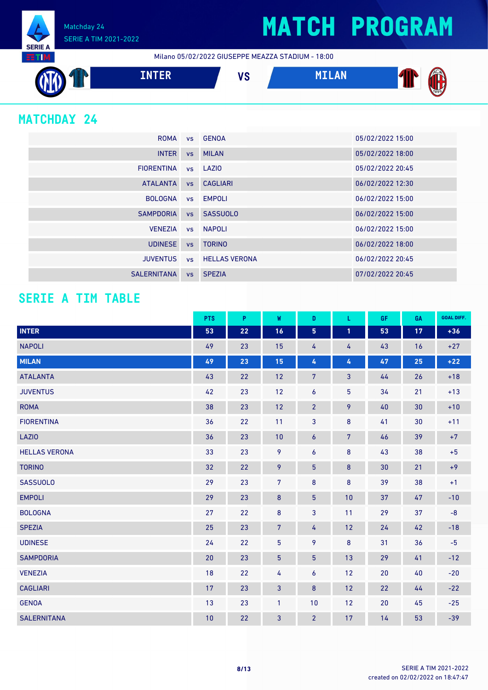Matchday 24 SERIE A TIM 2021-2022

Milano 05/02/2022 GIUSEPPE MEAZZA STADIUM - 18:00



### **MATCHDAY 24**

**SERIE A RETIM** 

| <b>ROMA</b>        |           | vs GENOA                | 05/02/2022 15:00 |
|--------------------|-----------|-------------------------|------------------|
| <b>INTER</b>       |           | vs MILAN                | 05/02/2022 18:00 |
| <b>FIORENTINA</b>  |           | ys LAZIO                | 05/02/2022 20:45 |
| <b>ATALANTA</b>    |           | vs CAGLIARI             | 06/02/2022 12:30 |
| <b>BOLOGNA</b>     |           | vs EMPOLI               | 06/02/2022 15:00 |
| <b>SAMPDORIA</b>   |           | vs SASSUOLO             | 06/02/2022 15:00 |
| <b>VENEZIA</b>     |           | vs NAPOLI               | 06/02/2022 15:00 |
| <b>UDINESE</b>     | <b>VS</b> | <b>TORINO</b>           | 06/02/2022 18:00 |
| <b>JUVENTUS</b>    |           | <b>vs</b> HELLAS VERONA | 06/02/2022 20:45 |
| <b>SALERNITANA</b> |           | vs SPEZIA               | 07/02/2022 20:45 |

#### **SERIE A TIM TABLE**

|                      | <b>PTS</b> | P  | W               | D               | L.             | GF | GA | <b>GOAL DIFF.</b> |
|----------------------|------------|----|-----------------|-----------------|----------------|----|----|-------------------|
| <b>INTER</b>         | 53         | 22 | 16              | $5\phantom{.0}$ | $\mathbf{1}$   | 53 | 17 | $+36$             |
| <b>NAPOLI</b>        | 49         | 23 | 15              | 4               | 4              | 43 | 16 | $+27$             |
| <b>MILAN</b>         | 49         | 23 | 15              | 4               | 4              | 47 | 25 | $+22$             |
| <b>ATALANTA</b>      | 43         | 22 | 12              | $\overline{7}$  | $\mathbf{3}$   | 44 | 26 | $+18$             |
| <b>JUVENTUS</b>      | 42         | 23 | 12              | 6               | 5              | 34 | 21 | $+13$             |
| <b>ROMA</b>          | 38         | 23 | 12              | $\overline{2}$  | 9              | 40 | 30 | $+10$             |
| <b>FIORENTINA</b>    | 36         | 22 | 11              | 3               | 8              | 41 | 30 | $+11$             |
| <b>LAZIO</b>         | 36         | 23 | 10              | 6               | $\overline{7}$ | 46 | 39 | $+7$              |
| <b>HELLAS VERONA</b> | 33         | 23 | 9               | 6               | 8              | 43 | 38 | $+5$              |
| <b>TORINO</b>        | 32         | 22 | 9               | $\overline{5}$  | $\pmb{8}$      | 30 | 21 | $+9$              |
| <b>SASSUOLO</b>      | 29         | 23 | $\overline{7}$  | 8               | $\bf 8$        | 39 | 38 | $+1$              |
| <b>EMPOLI</b>        | 29         | 23 | 8               | 5               | 10             | 37 | 47 | $-10$             |
| <b>BOLOGNA</b>       | 27         | 22 | $\bf 8$         | 3               | 11             | 29 | 37 | $-8$              |
| <b>SPEZIA</b>        | 25         | 23 | $\overline{7}$  | 4               | 12             | 24 | 42 | $-18$             |
| <b>UDINESE</b>       | 24         | 22 | $5\phantom{.0}$ | 9               | 8              | 31 | 36 | $-5$              |
| <b>SAMPDORIA</b>     | 20         | 23 | $\overline{5}$  | 5 <sup>5</sup>  | 13             | 29 | 41 | $-12$             |
| <b>VENEZIA</b>       | 18         | 22 | 4               | 6               | 12             | 20 | 40 | $-20$             |
| <b>CAGLIARI</b>      | 17         | 23 | $\mathbf{3}$    | $\bf 8$         | 12             | 22 | 44 | $-22$             |
| <b>GENOA</b>         | 13         | 23 | $\mathbf{1}$    | 10              | 12             | 20 | 45 | $-25$             |
| <b>SALERNITANA</b>   | 10         | 22 | 3               | $\overline{2}$  | 17             | 14 | 53 | $-39$             |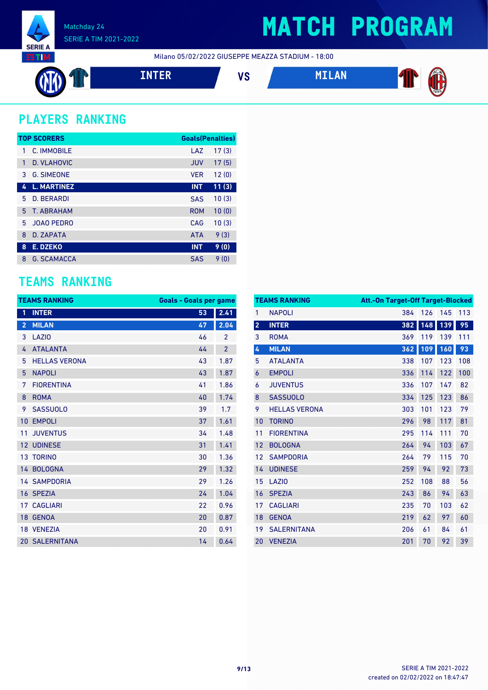

## **MATCH PROGRAM**

Milano 05/02/2022 GIUSEPPE MEAZZA STADIUM - 18:00



### **PLAYERS RANKING**

|    | <b>TOP SCORERS</b> | <b>Goals(Penalties)</b> |       |
|----|--------------------|-------------------------|-------|
| 1  | C. IMMOBILE        | LAZ                     | 17(3) |
| 1  | D. VLAHOVIC        | <b>JUV</b>              | 17(5) |
| 3  | <b>G. SIMEONE</b>  | <b>VER</b>              | 12(0) |
| 4  | <b>L. MARTINEZ</b> | <b>INT</b>              | 11(3) |
| 5  | D. BERARDI         | <b>SAS</b>              | 10(3) |
| 5. | <b>T. ABRAHAM</b>  | <b>ROM</b>              | 10(0) |
| 5  | <b>JOAO PEDRO</b>  | CAG                     | 10(3) |
| 8  | D. ZAPATA          | <b>ATA</b>              | 9(3)  |
| 8  | <b>E. DZEKO</b>    | <b>INT</b>              | 9(0)  |
| 8  | <b>G. SCAMACCA</b> | <b>SAS</b>              | 9(0)  |

### **TEAMS RANKING**

|                 | <b>TEAMS RANKING</b>  |    | <b>Goals - Goals per game</b> |  |  |  |
|-----------------|-----------------------|----|-------------------------------|--|--|--|
| 1               | <b>INTER</b>          | 53 | 2.41                          |  |  |  |
| $\overline{2}$  | <b>MILAN</b>          | 47 | 2.04                          |  |  |  |
| 3               | <b>LAZIO</b>          | 46 | $\overline{2}$                |  |  |  |
| 4               | <b>ATALANTA</b>       | 44 | $\overline{2}$                |  |  |  |
| 5               | <b>HELLAS VERONA</b>  | 43 | 1.87                          |  |  |  |
| 5               | <b>NAPOLI</b>         | 43 | 1.87                          |  |  |  |
| 7               | <b>FIORENTINA</b>     | 41 | 1.86                          |  |  |  |
| 8               | <b>ROMA</b>           | 40 | 1.74                          |  |  |  |
| 9               | <b>SASSUOLO</b>       | 39 | 1.7                           |  |  |  |
| 10              | <b>EMPOLI</b>         | 37 | 1.61                          |  |  |  |
| 11              | <b>JUVENTUS</b>       | 34 | 1.48                          |  |  |  |
| 12              | <b>UDINESE</b>        | 31 | 1.41                          |  |  |  |
|                 | 13 TORINO             | 30 | 1.36                          |  |  |  |
|                 | 14 BOLOGNA            | 29 | 1.32                          |  |  |  |
|                 | <b>14 SAMPDORIA</b>   | 29 | 1.26                          |  |  |  |
|                 | 16 SPEZIA             | 24 | 1.04                          |  |  |  |
| 17              | <b>CAGLIARI</b>       | 22 | 0.96                          |  |  |  |
| 18 <sup>°</sup> | <b>GENOA</b>          | 20 | 0.87                          |  |  |  |
| 18              | <b>VENEZIA</b>        | 20 | 0.91                          |  |  |  |
|                 | <b>20 SALERNITANA</b> | 14 | 0.64                          |  |  |  |

|                         | <b>TEAMS RANKING</b> | Att.-On Target-Off Target-Blocked |     |     |     |
|-------------------------|----------------------|-----------------------------------|-----|-----|-----|
| 1                       | <b>NAPOLI</b>        | 384                               | 126 | 145 | 113 |
| $\overline{\mathbf{2}}$ | <b>INTER</b>         | 382                               | 148 | 139 | 95  |
| 3                       | <b>ROMA</b>          | 369                               | 119 | 139 | 111 |
| 4                       | <b>MILAN</b>         | 362                               | 109 | 160 | 93  |
| 5                       | <b>ATALANTA</b>      | 338                               | 107 | 123 | 108 |
| 6                       | <b>EMPOLI</b>        | 336                               | 114 | 122 | 100 |
| 6                       | <b>JUVENTUS</b>      | 336                               | 107 | 147 | 82  |
| 8                       | <b>SASSUOLO</b>      | 334                               | 125 | 123 | 86  |
| 9                       | <b>HELLAS VERONA</b> | 303                               | 101 | 123 | 79  |
| 10                      | <b>TORINO</b>        | 296                               | 98  | 117 | 81  |
| 11                      | <b>FIORENTINA</b>    | 295                               | 114 | 111 | 70  |
| 12                      | <b>BOLOGNA</b>       | 264                               | 94  | 103 | 67  |
| 12                      | <b>SAMPDORIA</b>     | 264                               | 79  | 115 | 70  |
| 14                      | <b>UDINESE</b>       | 259                               | 94  | 92  | 73  |
| 15                      | LAZI <sub>0</sub>    | 252                               | 108 | 88  | 56  |
| 16                      | <b>SPEZIA</b>        | 243                               | 86  | 94  | 63  |
| 17                      | <b>CAGLIARI</b>      | 235                               | 70  | 103 | 62  |
| 18                      | <b>GENOA</b>         | 219                               | 62  | 97  | 60  |
| 19                      | <b>SALERNITANA</b>   | 206                               | 61  | 84  | 61  |
| 20                      | <b>VENEZIA</b>       | 201                               | 70  | 92  | 39  |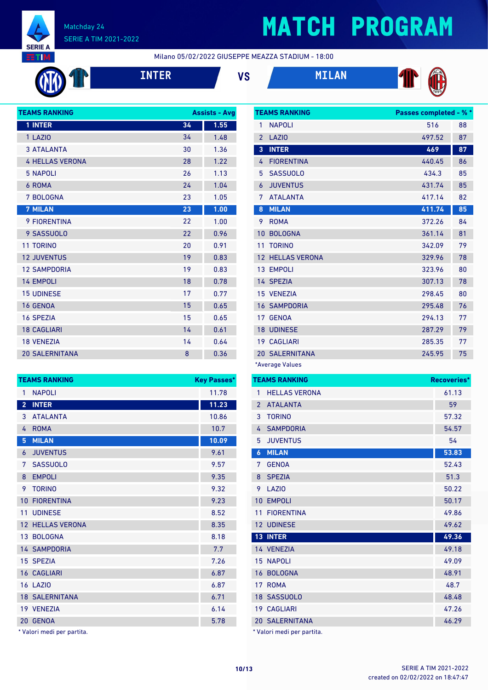

## **MATCH PROGRAM**

Milano 05/02/2022 GIUSEPPE MEAZZA STADIUM - 18:00







**TEAMS RANKING Passes completed - % \*** NAPOLI 516 88 LAZIO 497.52 87 **INTER 469 87** 4 FIORENTINA 440.45 86 SASSUOLO 434.3 85 JUVENTUS 431.74 85



| <b>TEAMS RANKING</b>   |    | <b>Assists - Avg</b> |
|------------------------|----|----------------------|
| 1 INTER                | 34 | 1.55                 |
| 1 LAZIO                | 34 | 1.48                 |
| <b>3 ATALANTA</b>      | 30 | 1.36                 |
| <b>4 HELLAS VERONA</b> | 28 | 1.22                 |
| <b>5 NAPOLI</b>        | 26 | 1.13                 |
| 6 ROMA                 | 24 | 1.04                 |
| 7 BOLOGNA              | 23 | 1.05                 |
| <b>7 MILAN</b>         | 23 | 1.00                 |
| <b>9 FIORENTINA</b>    | 22 | 1.00                 |
| 9 SASSUOLO             | 22 | 0.96                 |
| <b>11 TORINO</b>       | 20 | 0.91                 |
| <b>12 JUVENTUS</b>     | 19 | 0.83                 |
| <b>12 SAMPDORIA</b>    | 19 | 0.83                 |
| <b>14 EMPOLI</b>       | 18 | 0.78                 |
| <b>15 UDINESE</b>      | 17 | 0.77                 |
| <b>16 GENOA</b>        | 15 | 0.65                 |
| <b>16 SPEZIA</b>       | 15 | 0.65                 |
| <b>18 CAGLIARI</b>     | 14 | 0.61                 |
| <b>18 VENEZIA</b>      | 14 | 0.64                 |
| <b>20 SALERNITANA</b>  | 8  | 0.36                 |

| 1.05    | 7              | <b>ATALANTA</b>                         | 417.14 | 82                 |
|---------|----------------|-----------------------------------------|--------|--------------------|
| 1.00    | 8              | <b>MILAN</b>                            | 411.74 | 85                 |
| 1.00    | 9              | <b>ROMA</b>                             | 372.26 | 84                 |
| 0.96    | 10             | <b>BOLOGNA</b>                          | 361.14 | 81                 |
| 0.91    | 11             | <b>TORINO</b>                           | 342.09 | 79                 |
| 0.83    |                | <b>HELLAS VERONA</b><br>12 <sup>7</sup> | 329.96 | 78                 |
| 0.83    |                | 13 EMPOLI                               | 323.96 | 80                 |
| 0.78    |                | 14 SPEZIA                               | 307.13 | 78                 |
| 0.77    |                | 15 VENEZIA                              | 298.45 | 80                 |
| 0.65    |                | <b>16 SAMPDORIA</b>                     | 295.48 | 76                 |
| 0.65    |                | <b>GENOA</b><br>17 <sup>1</sup>         | 294.13 | 77                 |
| 0.61    |                | <b>18 UDINESE</b>                       | 287.29 | 79                 |
| 0.64    |                | <b>CAGLIARI</b><br>19                   | 285.35 | 77                 |
| 0.36    |                | <b>20 SALERNITANA</b>                   | 245.95 | 75                 |
|         |                | *Average Values                         |        |                    |
| Passes* |                | <b>TEAMS RANKING</b>                    |        | <b>Recoveries*</b> |
| 11.78   | 1              | <b>HELLAS VERONA</b>                    |        | 61.13              |
| 11.23   | $\overline{2}$ | <b>ATALANTA</b>                         |        | 59                 |
| 10.86   | 3              | <b>TORINO</b>                           |        | 57.32              |
| 10.7    | 4              | <b>SAMPDORIA</b>                        |        | 54.57              |

|                 | <b>TEAMS RANKING</b>       | <b>Key Passes*</b> |
|-----------------|----------------------------|--------------------|
| $\mathbf{1}$    | <b>NAPOLI</b>              | 11.78              |
| $\overline{2}$  | <b>INTER</b>               | 11.23              |
| 3               | <b>ATALANTA</b>            | 10.86              |
| 4               | <b>ROMA</b>                | 10.7               |
| 5               | <b>MILAN</b>               | 10.09              |
| 6               | <b>JUVENTUS</b>            | 9.61               |
| 7               | <b>SASSUOLO</b>            | 9.57               |
| 8               | <b>EMPOLI</b>              | 9.35               |
| 9               | <b>TORINO</b>              | 9.32               |
| $10-1$          | <b>FIORENTINA</b>          | 9.23               |
| 11 <sup>1</sup> | <b>UDINESE</b>             | 8.52               |
|                 | <b>12 HELLAS VERONA</b>    | 8.35               |
|                 | 13 BOLOGNA                 | 8.18               |
|                 | <b>14 SAMPDORIA</b>        | 7.7                |
|                 | 15 SPEZIA                  | 7.26               |
|                 | <b>16 CAGLIARI</b>         | 6.87               |
| <b>16 LAZIO</b> |                            | 6.87               |
|                 | <b>18 SALERNITANA</b>      | 6.71               |
|                 | 19 VENEZIA                 | 6.14               |
|                 | 20 GENOA                   | 5.78               |
|                 | * Valori medi per partita. |                    |

| $\overline{2}$   | <b>ATALANTA</b>            | 59    |
|------------------|----------------------------|-------|
| 3                | <b>TORINO</b>              | 57.32 |
| $\overline{4}$   | <b>SAMPDORIA</b>           | 54.57 |
| 5                | <b>JUVENTUS</b>            | 54    |
| $\boldsymbol{6}$ | <b>MILAN</b>               | 53.83 |
| 7                | <b>GENOA</b>               | 52.43 |
| 8                | <b>SPEZIA</b>              | 51.3  |
| 9                | LAZI <sub>0</sub>          | 50.22 |
| 10               | <b>EMPOLI</b>              | 50.17 |
| 11               | <b>FIORENTINA</b>          | 49.86 |
|                  | 12 UDINESE                 | 49.62 |
|                  | <b>13 INTER</b>            | 49.36 |
|                  | 14 VENEZIA                 | 49.18 |
|                  | <b>15 NAPOLI</b>           | 49.09 |
| 16               | <b>BOLOGNA</b>             | 48.91 |
| 17 <sup>2</sup>  | <b>ROMA</b>                | 48.7  |
|                  | 18 SASSUOLO                | 48.48 |
|                  | <b>19 CAGLIARI</b>         | 47.26 |
|                  | <b>20 SALERNITANA</b>      | 46.29 |
|                  | * Valori medi per partita. |       |

created on 02/02/2022 on 18:47:47 **10/13** SERIE A TIM 2021-2022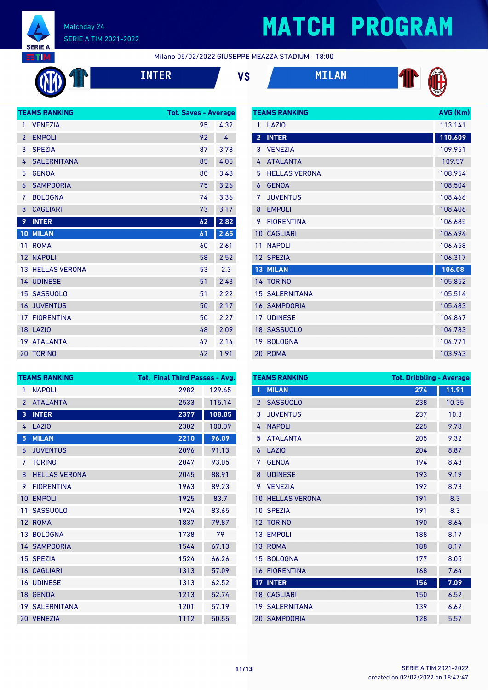

COLO

#### Matchday 24 SERIE A TIM 2021-2022

# **MATCH PROGRAM**

Milano 05/02/2022 GIUSEPPE MEAZZA STADIUM - 18:00

| <b>INTI</b> |  |  |
|-------------|--|--|
|             |  |  |







| 1              | <b>TEAMS RANKING</b>    | <b>Tot. Saves - Average</b> |      |
|----------------|-------------------------|-----------------------------|------|
|                | <b>VENEZIA</b>          | 95                          | 4.32 |
| $\overline{2}$ | <b>EMPOLI</b>           | 92                          | 4    |
| 3              | <b>SPEZIA</b>           | 87                          | 3.78 |
| 4              | <b>SALERNITANA</b>      | 85                          | 4.05 |
| 5              | <b>GENOA</b>            | 80                          | 3.48 |
| 6              | <b>SAMPDORIA</b>        | 75                          | 3.26 |
| 7              | <b>BOLOGNA</b>          | 74                          | 3.36 |
| 8              | <b>CAGLIARI</b>         | 73                          | 3.17 |
| 9              | <b>INTER</b>            | 62                          | 2.82 |
| 10             | <b>MILAN</b>            | 61                          | 2.65 |
| 11             | <b>ROMA</b>             | 60                          | 2.61 |
| 12             | <b>NAPOLI</b>           | 58                          |      |
|                |                         |                             | 2.52 |
|                | <b>13 HELLAS VERONA</b> | 53                          | 2.3  |
|                | <b>14 UDINESE</b>       | 51                          | 2.43 |
| 15             | <b>SASSUOLO</b>         | 51                          | 2.22 |
| 16             | <b>JUVENTUS</b>         | 50                          | 2.17 |
| 17             | <b>FIORENTINA</b>       | 50                          | 2.27 |
|                | 18 LAZIO                | 48                          | 2.09 |
| 19             | <b>ATALANTA</b>         | 47                          | 2.14 |

|                | <b>TEAMS RANKING</b>  | AVG (Km) |
|----------------|-----------------------|----------|
| 1              | LAZI <sub>0</sub>     | 113.141  |
| $\overline{2}$ | <b>INTER</b>          | 110.609  |
| 3              | <b>VENEZIA</b>        | 109.951  |
| 4              | <b>ATALANTA</b>       | 109.57   |
| 5              | <b>HELLAS VERONA</b>  | 108.954  |
| $\overline{6}$ | <b>GENOA</b>          | 108.504  |
| 7              | <b>JUVENTUS</b>       | 108.466  |
| 8              | <b>EMPOLI</b>         | 108.406  |
| 9              | <b>FIORENTINA</b>     | 106.685  |
| 10             | <b>CAGLIARI</b>       | 106.494  |
| 11             | <b>NAPOLI</b>         | 106.458  |
|                | 12 SPEZIA             | 106.317  |
| 13             | <b>MILAN</b>          | 106.08   |
|                | 14 TORINO             | 105.852  |
|                | <b>15 SALERNITANA</b> | 105.514  |
|                | <b>16 SAMPDORIA</b>   | 105.483  |
|                | <b>17 UDINESE</b>     | 104.847  |
|                | 18 SASSUOLO           | 104.783  |
| 19             | <b>BOLOGNA</b>        | 104.771  |
| 20             | <b>ROMA</b>           | 103.943  |

| <b>TEAMS RANKING</b> |                       | <b>Tot. Final Third Passes - Avg.</b> |        |  |
|----------------------|-----------------------|---------------------------------------|--------|--|
| 1                    | <b>NAPOLI</b>         | 2982                                  | 129.65 |  |
| $\mathcal{P}$        | <b>ATALANTA</b>       | 2533                                  | 115.14 |  |
| 3                    | <b>INTER</b>          | 2377                                  | 108.05 |  |
| 4                    | LAZI <sub>0</sub>     | 2302                                  | 100.09 |  |
| 5                    | <b>MILAN</b>          | 2210                                  | 96.09  |  |
| 6                    | <b>JUVENTUS</b>       | 2096                                  | 91.13  |  |
| 7                    | <b>TORINO</b>         | 2047                                  | 93.05  |  |
| 8                    | <b>HELLAS VERONA</b>  | 2045                                  | 88.91  |  |
| 9                    | <b>FIORENTINA</b>     | 1963                                  | 89.23  |  |
| 10                   | <b>EMPOLI</b>         | 1925                                  | 83.7   |  |
| 11                   | <b>SASSUOLO</b>       | 1924                                  | 83.65  |  |
| 12                   | <b>ROMA</b>           | 1837                                  | 79.87  |  |
|                      | 13 BOLOGNA            | 1738                                  | 79     |  |
|                      | <b>14 SAMPDORIA</b>   | 1544                                  | 67.13  |  |
|                      | 15 SPEZIA             | 1524                                  | 66.26  |  |
|                      | <b>16 CAGLIARI</b>    | 1313                                  | 57.09  |  |
|                      | <b>16 UDINESE</b>     | 1313                                  | 62.52  |  |
|                      | 18 GENOA              | 1213                                  | 52.74  |  |
|                      | <b>19 SALERNITANA</b> | 1201                                  | 57.19  |  |
|                      | 20 VENEZIA            | 1112                                  | 50.55  |  |

|                 | <b>TEAMS RANKING</b> | <b>Tot. Dribbling - Average</b> |       |
|-----------------|----------------------|---------------------------------|-------|
| 1               | <b>MILAN</b>         | 274                             | 11.91 |
| $\overline{2}$  | <b>SASSUOLO</b>      | 238                             | 10.35 |
| 3               | <b>JUVENTUS</b>      | 237                             | 10.3  |
| 4               | <b>NAPOLI</b>        | 225                             | 9.78  |
| 5               | <b>ATALANTA</b>      | 205                             | 9.32  |
| 6               | <b>LAZIO</b>         | 204                             | 8.87  |
| 7               | <b>GENOA</b>         | 194                             | 8.43  |
| 8               | <b>UDINESE</b>       | 193                             | 9.19  |
| 9               | <b>VENEZIA</b>       | 192                             | 8.73  |
| 10              | <b>HELLAS VERONA</b> | 191                             | 8.3   |
| 10              | <b>SPEZIA</b>        | 191                             | 8.3   |
| 12              | <b>TORINO</b>        | 190                             | 8.64  |
| 13              | <b>EMPOLI</b>        | 188                             | 8.17  |
| 13              | <b>ROMA</b>          | 188                             | 8.17  |
| 15              | <b>BOLOGNA</b>       | 177                             | 8.05  |
| 16              | <b>FIORENTINA</b>    | 168                             | 7.64  |
| 17 <sup>2</sup> | <b>INTER</b>         | 156                             | 7.09  |
|                 | <b>18 CAGLIARI</b>   | 150                             | 6.52  |
| 19              | <b>SALERNITANA</b>   | 139                             | 6.62  |
|                 | <b>20 SAMPDORIA</b>  | 128                             | 5.57  |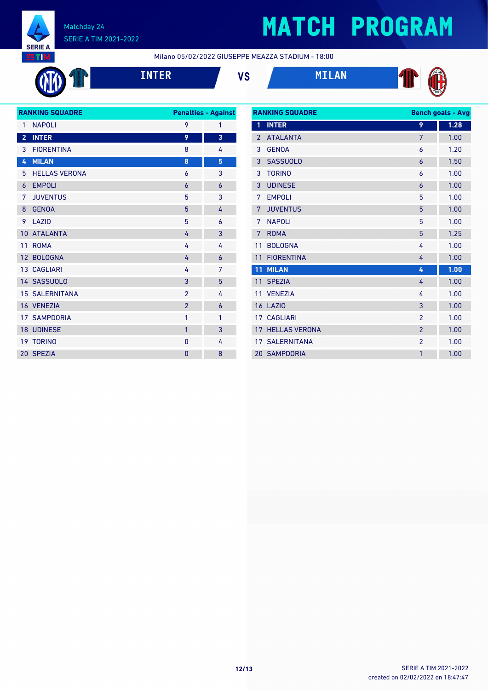

# **MATCH PROGRAM**

Milano 05/02/2022 GIUSEPPE MEAZZA STADIUM - 18:00



**INTER VS MILAN**







| <b>RANKING SQUADRE</b> |                       |                | <b>Penalties - Against</b> |
|------------------------|-----------------------|----------------|----------------------------|
| 1                      | <b>NAPOLI</b>         | 9              | 1                          |
| $\overline{2}$         | <b>INTER</b>          | 9              | 3                          |
| 3                      | <b>FIORENTINA</b>     | 8              | 4                          |
| 4                      | <b>MILAN</b>          | 8              | 5                          |
| 5                      | <b>HELLAS VERONA</b>  | 6              | 3                          |
| 6                      | <b>EMPOLI</b>         | 6              | 6                          |
| 7                      | <b>JUVENTUS</b>       | 5              | 3                          |
| 8                      | <b>GENOA</b>          | 5              | 4                          |
| 9                      | <b>LAZIO</b>          | 5              | 6                          |
| 10 <sup>°</sup>        | <b>ATALANTA</b>       | 4              | 3                          |
| 11                     | <b>ROMA</b>           | 4              | 4                          |
|                        | 12 BOLOGNA            | 4              | 6                          |
|                        | <b>13 CAGLIARI</b>    | 4              | 7                          |
|                        | 14 SASSUOLO           | 3              | 5                          |
|                        | <b>15 SALERNITANA</b> | $\overline{2}$ | 4                          |
|                        | 16 VENEZIA            | $\overline{2}$ | 6                          |
|                        | <b>17 SAMPDORIA</b>   | 1              | 1                          |
|                        | <b>18 UDINESE</b>     | $\mathbf{1}$   | 3                          |
|                        | 19 TORINO             | 0              | 4                          |
|                        | 20 SPEZIA             | $\overline{0}$ | 8                          |
|                        |                       |                |                            |

| <b>RANKING SQUADRE</b> |                       |                | <b>Bench goals - Avg</b> |
|------------------------|-----------------------|----------------|--------------------------|
| 1                      | <b>INTER</b>          | 9              | 1.28                     |
| $\overline{2}$         | <b>ATALANTA</b>       | 7              | 1.00                     |
| 3                      | <b>GENOA</b>          | 6              | 1.20                     |
| 3                      | <b>SASSUOLO</b>       | 6              | 1.50                     |
| 3                      | <b>TORINO</b>         | 6              | 1.00                     |
| 3                      | <b>UDINESE</b>        | 6              | 1.00                     |
| 7                      | <b>EMPOLI</b>         | 5              | 1.00                     |
| 7                      | <b>JUVENTUS</b>       | 5              | 1.00                     |
| 7                      | <b>NAPOLI</b>         | 5              | 1.00                     |
| 7                      | <b>ROMA</b>           | 5              | 1.25                     |
| 11                     | <b>BOLOGNA</b>        | 4              | 1.00                     |
| 11                     | <b>FIORENTINA</b>     | 4              | 1.00                     |
| 11                     | <b>MILAN</b>          | 4              | 1.00                     |
| 11                     | <b>SPEZIA</b>         | 4              | 1.00                     |
| 11                     | <b>VENEZIA</b>        | 4              | 1.00                     |
| 16                     | LAZI <sub>0</sub>     | 3              | 1.00                     |
| 17 <sup>7</sup>        | <b>CAGLIARI</b>       | $\overline{2}$ | 1.00                     |
| 17                     | <b>HELLAS VERONA</b>  | $\overline{2}$ | 1.00                     |
|                        | <b>17 SALERNITANA</b> | $\overline{2}$ | 1.00                     |
|                        | <b>20 SAMPDORIA</b>   | $\mathbf{1}$   | 1.00                     |